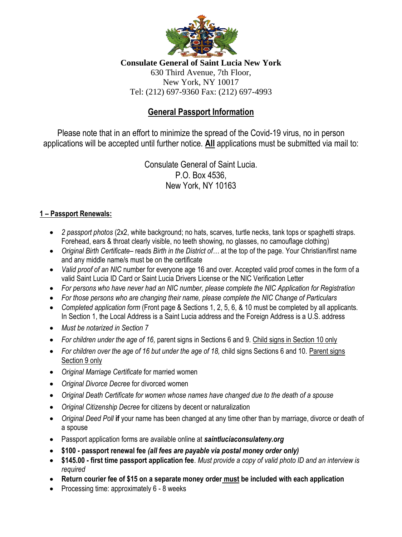

**Consulate General of Saint Lucia New York** 630 Third Avenue, 7th Floor, New York, NY 10017 Tel: (212) 697-9360 Fax: (212) 697-4993

# **General Passport Information**

Please note that in an effort to minimize the spread of the Covid-19 virus, no in person applications will be accepted until further notice. **All** applications must be submitted via mail to:

> Consulate General of Saint Lucia. P.O. Box 4536, New York, NY 10163

#### **1 – Passport Renewals:**

- *2 passport photos* (2x2, white background; no hats, scarves, turtle necks, tank tops or spaghetti straps. Forehead, ears & throat clearly visible, no teeth showing, no glasses, no camouflage clothing)
- *Original Birth Certificate* reads *Birth in the District of…* at the top of the page. Your Christian/first name and any middle name/s must be on the certificate
- *Valid proof of an NIC* number for everyone age 16 and over. Accepted valid proof comes in the form of a valid Saint Lucia ID Card or Saint Lucia Drivers License or the NIC Verification Letter
- *For persons who have never had an NIC number, please complete the NIC Application for Registration*
- *For those persons who are changing their name, please complete the NIC Change of Particulars*
- *Completed application form* (Front page & Sections 1, 2, 5, 6, & 10 must be completed by all applicants. In Section 1, the Local Address is a Saint Lucia address and the Foreign Address is a U.S. address
- *Must be notarized in Section 7*
- *For children under the age of 16,* parent signs in Sections 6 and 9. Child signs in Section 10 only
- *For children over the age of 16 but under the age of 18,* child signs Sections 6 and 10. Parent signs Section 9 only
- *Original Marriage Certificate* for married women
- *Original Divorce Decree* for divorced women
- *Original Death Certificate for women whose names have changed due to the death of a spouse*
- *Original Citizenship Decree* for citizens by decent or naturalization
- *Original Deed Poll* **if** your name has been changed at any time other than by marriage, divorce or death of a spouse
- Passport application forms are available online at *saintluciaconsulateny.org*
- **\$100 - passport renewal fee** *(all fees are payable via postal money order only)*
- **\$145.00 - first time passport application fee**. *Must provide a copy of valid photo ID and an interview is required*
- **Return courier fee of \$15 on a separate money order must be included with each application**
- Processing time: approximately 6 8 weeks